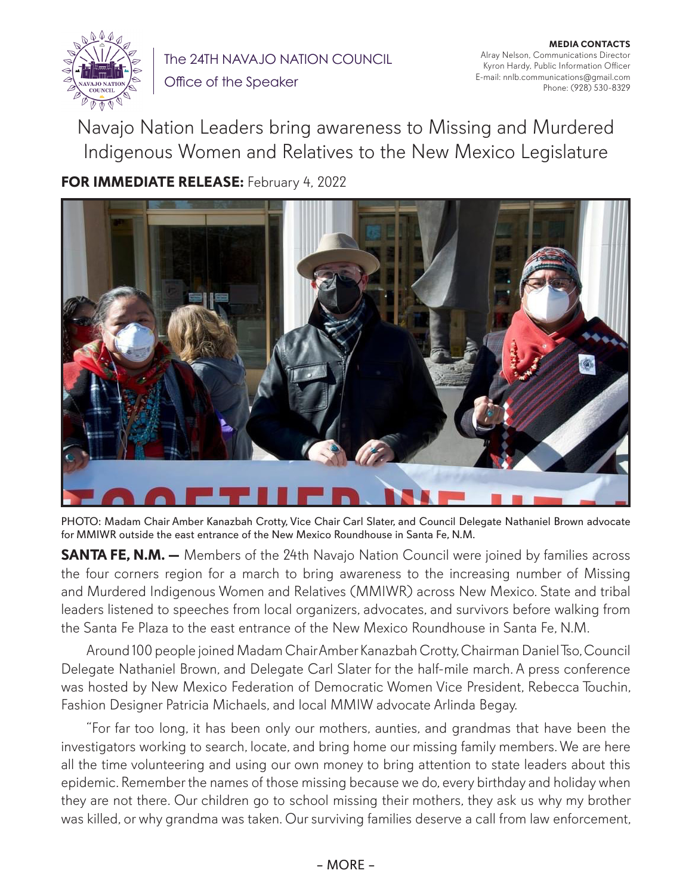

The 24TH NAVAJO NATION COUNCIL Office of the Speaker

**MEDIA CONTACTS** Alray Nelson, Communications Director Kyron Hardy, Public Information Officer E-mail: nnlb.communications@gmail.com Phone: (928) 530-8329

Navajo Nation Leaders bring awareness to Missing and Murdered Indigenous Women and Relatives to the New Mexico Legislature

**FOR IMMEDIATE RELEASE:** February 4, 2022



PHOTO: Madam Chair Amber Kanazbah Crotty, Vice Chair Carl Slater, and Council Delegate Nathaniel Brown advocate for MMIWR outside the east entrance of the New Mexico Roundhouse in Santa Fe, N.M.

**SANTA FE, N.M.** — Members of the 24th Navajo Nation Council were joined by families across the four corners region for a march to bring awareness to the increasing number of Missing and Murdered Indigenous Women and Relatives (MMIWR) across New Mexico. State and tribal leaders listened to speeches from local organizers, advocates, and survivors before walking from the Santa Fe Plaza to the east entrance of the New Mexico Roundhouse in Santa Fe, N.M.

Around 100 people joined Madam Chair Amber Kanazbah Crotty, Chairman Daniel Tso, Council Delegate Nathaniel Brown, and Delegate Carl Slater for the half-mile march. A press conference was hosted by New Mexico Federation of Democratic Women Vice President, Rebecca Touchin, Fashion Designer Patricia Michaels, and local MMIW advocate Arlinda Begay.

"For far too long, it has been only our mothers, aunties, and grandmas that have been the investigators working to search, locate, and bring home our missing family members. We are here all the time volunteering and using our own money to bring attention to state leaders about this epidemic. Remember the names of those missing because we do, every birthday and holiday when they are not there. Our children go to school missing their mothers, they ask us why my brother was killed, or why grandma was taken. Our surviving families deserve a call from law enforcement,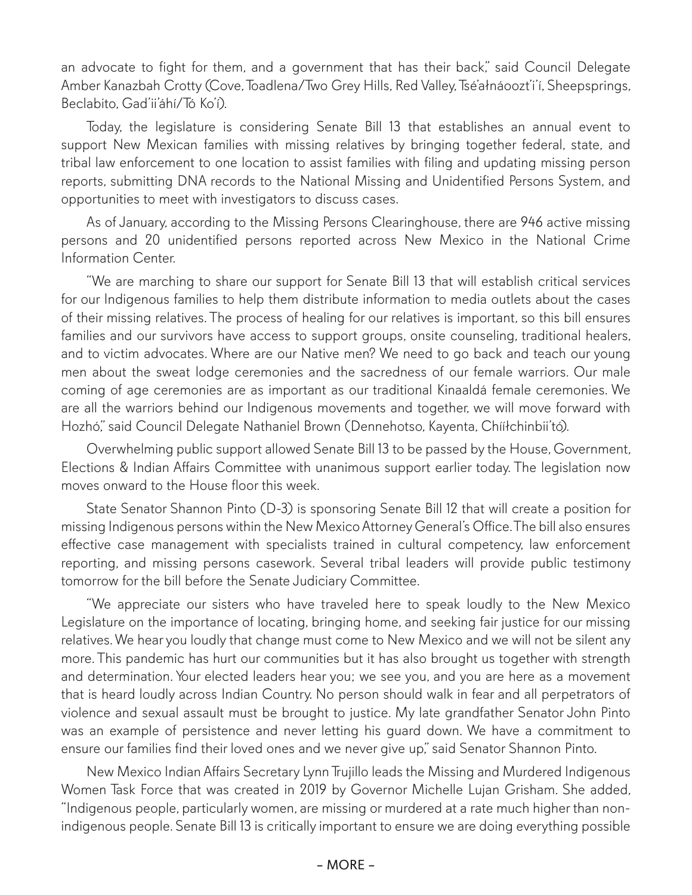an advocate to fight for them, and a government that has their back," said Council Delegate Amber Kanazbah Crotty (Cove, Toadlena/Two Grey Hills, Red Valley, Tsé'ałnáoozt'i'í, Sheepsprings, Beclabito, Gad'ii'áhí/Tó Ko'í).

Today, the legislature is considering Senate Bill 13 that establishes an annual event to support New Mexican families with missing relatives by bringing together federal, state, and tribal law enforcement to one location to assist families with filing and updating missing person reports, submitting DNA records to the National Missing and Unidentified Persons System, and opportunities to meet with investigators to discuss cases.

As of January, according to the Missing Persons Clearinghouse, there are 946 active missing persons and 20 unidentified persons reported across New Mexico in the National Crime Information Center.

"We are marching to share our support for Senate Bill 13 that will establish critical services for our Indigenous families to help them distribute information to media outlets about the cases of their missing relatives. The process of healing for our relatives is important, so this bill ensures families and our survivors have access to support groups, onsite counseling, traditional healers, and to victim advocates. Where are our Native men? We need to go back and teach our young men about the sweat lodge ceremonies and the sacredness of our female warriors. Our male coming of age ceremonies are as important as our traditional Kinaaldá female ceremonies. We are all the warriors behind our Indigenous movements and together, we will move forward with Hozhó," said Council Delegate Nathaniel Brown (Dennehotso, Kayenta, Chííłchinbii'tó).

Overwhelming public support allowed Senate Bill 13 to be passed by the House, Government, Elections & Indian Affairs Committee with unanimous support earlier today. The legislation now moves onward to the House floor this week.

State Senator Shannon Pinto (D-3) is sponsoring Senate Bill 12 that will create a position for missing Indigenous persons within the New Mexico Attorney General's Office. The bill also ensures effective case management with specialists trained in cultural competency, law enforcement reporting, and missing persons casework. Several tribal leaders will provide public testimony tomorrow for the bill before the Senate Judiciary Committee.

"We appreciate our sisters who have traveled here to speak loudly to the New Mexico Legislature on the importance of locating, bringing home, and seeking fair justice for our missing relatives. We hear you loudly that change must come to New Mexico and we will not be silent any more. This pandemic has hurt our communities but it has also brought us together with strength and determination. Your elected leaders hear you; we see you, and you are here as a movement that is heard loudly across Indian Country. No person should walk in fear and all perpetrators of violence and sexual assault must be brought to justice. My late grandfather Senator John Pinto was an example of persistence and never letting his guard down. We have a commitment to ensure our families find their loved ones and we never give up," said Senator Shannon Pinto.

New Mexico Indian Affairs Secretary Lynn Trujillo leads the Missing and Murdered Indigenous Women Task Force that was created in 2019 by Governor Michelle Lujan Grisham. She added, "Indigenous people, particularly women, are missing or murdered at a rate much higher than nonindigenous people. Senate Bill 13 is critically important to ensure we are doing everything possible